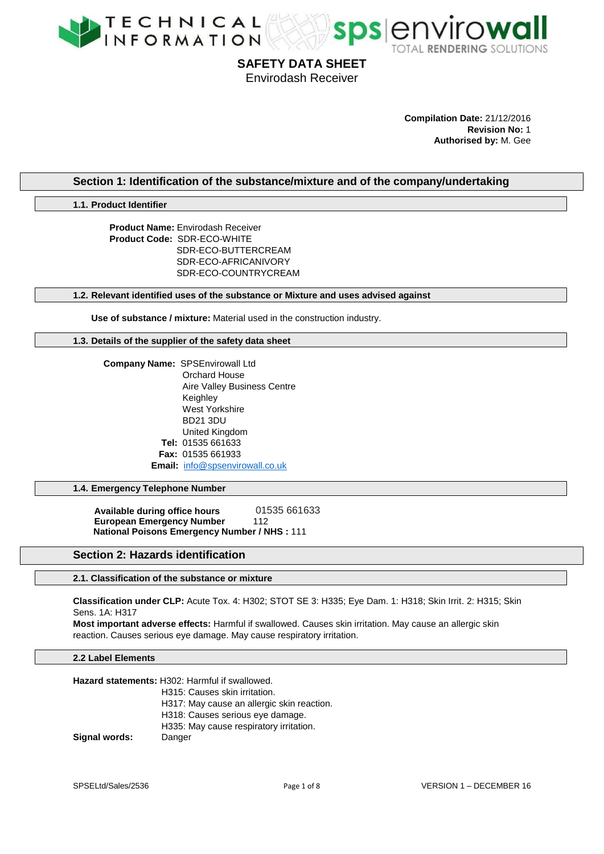



#### **Compilation Date:** 21/12/2016 **Revision No:** 1 **Authorised by:** M. Gee

**Section 1: Identification of the substance/mixture and of the company/undertaking**

**1.1. Product Identifier**

**Product Name:** Envirodash Receiver **Product Code:** SDR-ECO-WHITE SDR-ECO-BUTTERCREAM SDR-ECO-AFRICANIVORY SDR-ECO-COUNTRYCREAM

**1.2. Relevant identified uses of the substance or Mixture and uses advised against**

**Use of substance / mixture:** Material used in the construction industry.

**1.3. Details of the supplier of the safety data sheet**

 **Company Name:** SPSEnvirowall Ltd Orchard House Aire Valley Business Centre Keighley West Yorkshire BD21 3DU United Kingdom **Tel:** 01535 661633 **Fax:** 01535 661933 **Email:** [info@spsenvirowall.co.uk](mailto:info@spsenvirowall.co.uk)

**1.4. Emergency Telephone Number**

**Available during office hours** 01535 661633 **European Emergency Number** 112  **National Poisons Emergency Number / NHS :** 111

# **Section 2: Hazards identification**

**2.1. Classification of the substance or mixture**

**Classification under CLP:** Acute Tox. 4: H302; STOT SE 3: H335; Eye Dam. 1: H318; Skin Irrit. 2: H315; Skin Sens. 1A: H317

**Most important adverse effects:** Harmful if swallowed. Causes skin irritation. May cause an allergic skin reaction. Causes serious eye damage. May cause respiratory irritation.

#### **2.2 Label Elements**

|                      | Hazard statements: H302: Harmful if swallowed. |
|----------------------|------------------------------------------------|
|                      | H315: Causes skin irritation.                  |
|                      | H317: May cause an allergic skin reaction.     |
|                      | H318: Causes serious eye damage.               |
|                      | H335: May cause respiratory irritation.        |
| <b>Signal words:</b> | Danger                                         |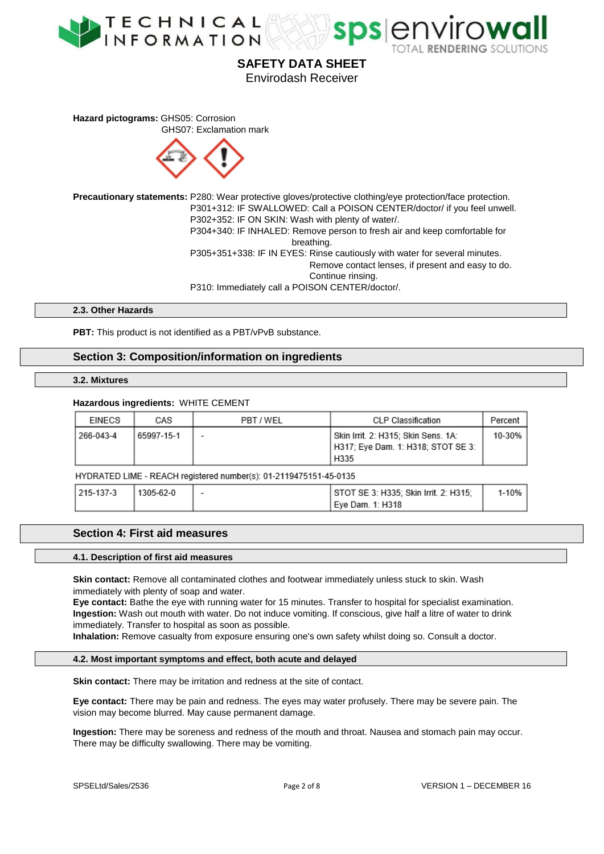



**Hazard pictograms: GHS05: Corrosion** GHS07: Exclamation mark



**Precautionary statements:** P280: Wear protective gloves/protective clothing/eye protection/face protection. P301+312: IF SWALLOWED: Call a POISON CENTER/doctor/ if you feel unwell. P302+352: IF ON SKIN: Wash with plenty of water/. P304+340: IF INHALED: Remove person to fresh air and keep comfortable for breathing. P305+351+338: IF IN EYES: Rinse cautiously with water for several minutes. Remove contact lenses, if present and easy to do. Continue rinsing. P310: Immediately call a POISON CENTER/doctor/.

**2.3. Other Hazards**

**PBT:** This product is not identified as a PBT/vPvB substance.

# **Section 3: Composition/information on ingredients**

#### **3.2. Mixtures**

#### **Hazardous ingredients:** WHITE CEMENT

| EINECS                                                            | CAS        | PBT / WEL | <b>CLP Classification</b>                                                         | Percent |  |
|-------------------------------------------------------------------|------------|-----------|-----------------------------------------------------------------------------------|---------|--|
| 266-043-4                                                         | 65997-15-1 |           | Skin Irrit. 2: H315; Skin Sens. 1A:<br>H317; Eye Dam. 1: H318; STOT SE 3:<br>H335 | 10-30%  |  |
| HYDRATED LIME - REACH registered number(s): 01-2119475151-45-0135 |            |           |                                                                                   |         |  |
| 215-137-3                                                         | 1305-62-0  |           | STOT SE 3: H335; Skin Irrit. 2: H315;<br>Eye Dam. 1: H318                         | 1-10%   |  |

# **Section 4: First aid measures**

#### **4.1. Description of first aid measures**

**Skin contact:** Remove all contaminated clothes and footwear immediately unless stuck to skin. Wash immediately with plenty of soap and water.

**Eye contact:** Bathe the eye with running water for 15 minutes. Transfer to hospital for specialist examination. **Ingestion:** Wash out mouth with water. Do not induce vomiting. If conscious, give half a litre of water to drink immediately. Transfer to hospital as soon as possible.

**Inhalation:** Remove casualty from exposure ensuring one's own safety whilst doing so. Consult a doctor.

#### **4.2. Most important symptoms and effect, both acute and delayed**

**Skin contact:** There may be irritation and redness at the site of contact.

**Eye contact:** There may be pain and redness. The eyes may water profusely. There may be severe pain. The vision may become blurred. May cause permanent damage.

**Ingestion:** There may be soreness and redness of the mouth and throat. Nausea and stomach pain may occur. There may be difficulty swallowing. There may be vomiting.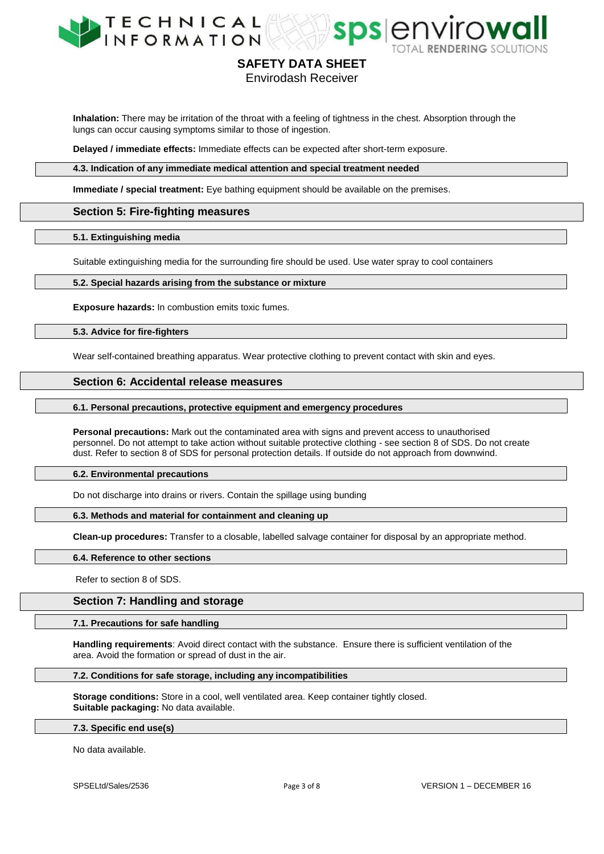



Envirodash Receiver

**Inhalation:** There may be irritation of the throat with a feeling of tightness in the chest. Absorption through the lungs can occur causing symptoms similar to those of ingestion.

**Delayed / immediate effects:** Immediate effects can be expected after short-term exposure.

**4.3. Indication of any immediate medical attention and special treatment needed**

**Immediate / special treatment:** Eye bathing equipment should be available on the premises.

## **Section 5: Fire-fighting measures**

#### **5.1. Extinguishing media**

Suitable extinguishing media for the surrounding fire should be used. Use water spray to cool containers

### **5.2. Special hazards arising from the substance or mixture**

**Exposure hazards:** In combustion emits toxic fumes.

#### **5.3. Advice for fire-fighters**

Wear self-contained breathing apparatus. Wear protective clothing to prevent contact with skin and eyes.

### **Section 6: Accidental release measures**

#### **6.1. Personal precautions, protective equipment and emergency procedures**

**Personal precautions:** Mark out the contaminated area with signs and prevent access to unauthorised personnel. Do not attempt to take action without suitable protective clothing - see section 8 of SDS. Do not create dust. Refer to section 8 of SDS for personal protection details. If outside do not approach from downwind.

#### **6.2. Environmental precautions**

Do not discharge into drains or rivers. Contain the spillage using bunding

#### **6.3. Methods and material for containment and cleaning up**

**Clean-up procedures:** Transfer to a closable, labelled salvage container for disposal by an appropriate method.

#### **6.4. Reference to other sections**

Refer to section 8 of SDS.

#### **Section 7: Handling and storage**

#### **7.1. Precautions for safe handling**

**Handling requirements**: Avoid direct contact with the substance. Ensure there is sufficient ventilation of the area. Avoid the formation or spread of dust in the air.

#### **7.2. Conditions for safe storage, including any incompatibilities**

**Storage conditions:** Store in a cool, well ventilated area. Keep container tightly closed. **Suitable packaging:** No data available.

#### **7.3. Specific end use(s)**

No data available.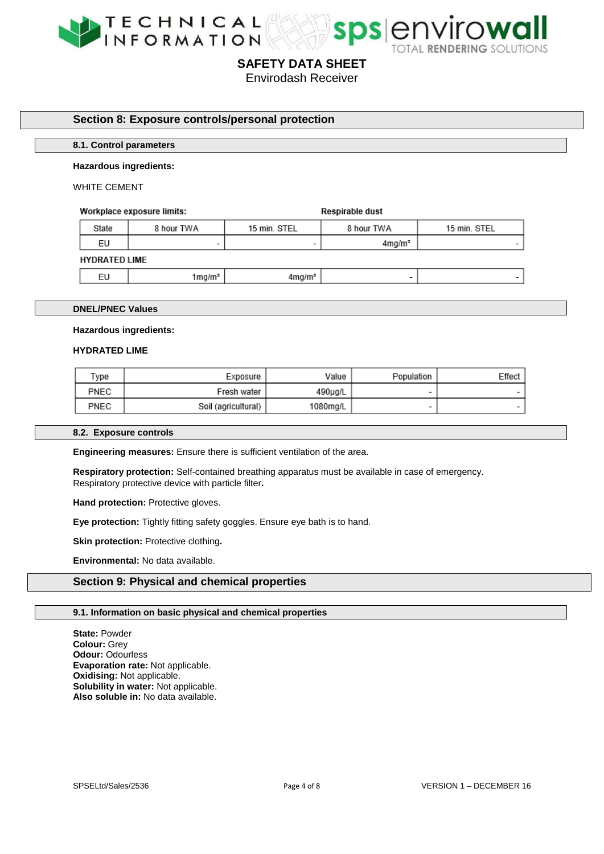



Envirodash Receiver

# **Section 8: Exposure controls/personal protection**

#### **8.1. Control parameters**

#### **Hazardous ingredients:**

#### WHITE CEMENT

#### Workplace exposure limits:

**Respirable dust** 

| State                | 8 hour TWA | 15 min. STEL       | 8 hour TWA               | 15 min. STEL |  |  |
|----------------------|------------|--------------------|--------------------------|--------------|--|--|
| EU                   | -          | $\sim$             | 4mg/m <sup>3</sup>       |              |  |  |
| <b>HYDRATED LIME</b> |            |                    |                          |              |  |  |
| EU                   | 1mg/mª     | 4mg/m <sup>3</sup> | $\overline{\phantom{a}}$ |              |  |  |

#### **DNEL/PNEC Values**

#### **Hazardous ingredients:**

#### **HYDRATED LIME**

| Type | Exposure            | Value    | Population | Effect |
|------|---------------------|----------|------------|--------|
| PNEC | Fresh water         | 490µg/L  |            |        |
| PNEC | Soil (agricultural) | 1080mg/L |            |        |

#### **8.2. Exposure controls**

**Engineering measures:** Ensure there is sufficient ventilation of the area.

**Respiratory protection:** Self-contained breathing apparatus must be available in case of emergency. Respiratory protective device with particle filter**.** 

**Hand protection: Protective gloves.** 

**Eye protection:** Tightly fitting safety goggles. Ensure eye bath is to hand.

**Skin protection:** Protective clothing.

**Environmental:** No data available.

# **Section 9: Physical and chemical properties**

#### **9.1. Information on basic physical and chemical properties**

**State:** Powder **Colour:** Grey **Odour:** Odourless **Evaporation rate:** Not applicable. **Oxidising:** Not applicable. **Solubility in water:** Not applicable. **Also soluble in:** No data available.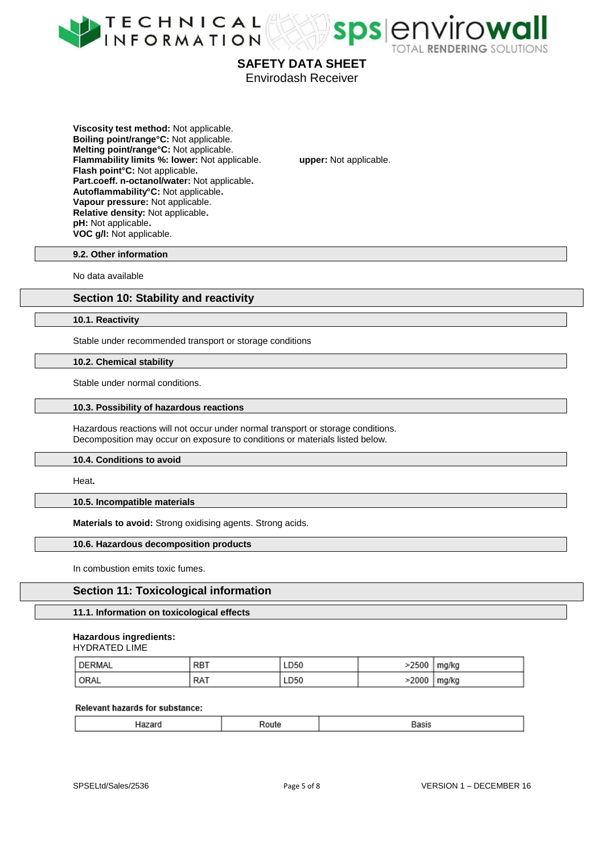



Envirodash Receiver

**Viscosity test method:** Not applicable. **Boiling point/range°C:** Not applicable. **Melting point/range°C:** Not applicable. **Flammability limits %: lower:** Not applicable. **upper:** Not applicable. **Flash point°C:** Not applicable**. Part.coeff. n-octanol/water:** Not applicable**. Autoflammability°C:** Not applicable**. Vapour pressure:** Not applicable. **Relative density:** Not applicable**. pH:** Not applicable**. VOC g/l:** Not applicable.

#### **9.2. Other information**

No data available

# **Section 10: Stability and reactivity**

#### **10.1. Reactivity**

Stable under recommended transport or storage conditions

#### **10.2. Chemical stability**

Stable under normal conditions.

#### **10.3. Possibility of hazardous reactions**

Hazardous reactions will not occur under normal transport or storage conditions. Decomposition may occur on exposure to conditions or materials listed below.

#### **10.4. Conditions to avoid**

Heat**.** 

#### **10.5. Incompatible materials**

**Materials to avoid:** Strong oxidising agents. Strong acids.

#### **10.6. Hazardous decomposition products**

In combustion emits toxic fumes.

# **Section 11: Toxicological information**

#### **11.1. Information on toxicological effects**

#### **Hazardous ingredients:**

| HYDRATED LIME |  |
|---------------|--|
|---------------|--|

| DERMAL            | RB1 | LD50 | >2500 | mg/kg |
|-------------------|-----|------|-------|-------|
| <sup>I</sup> ORAL | RA1 | LD50 | >2000 | mg/kg |

#### Relevant hazards for substance:

|--|--|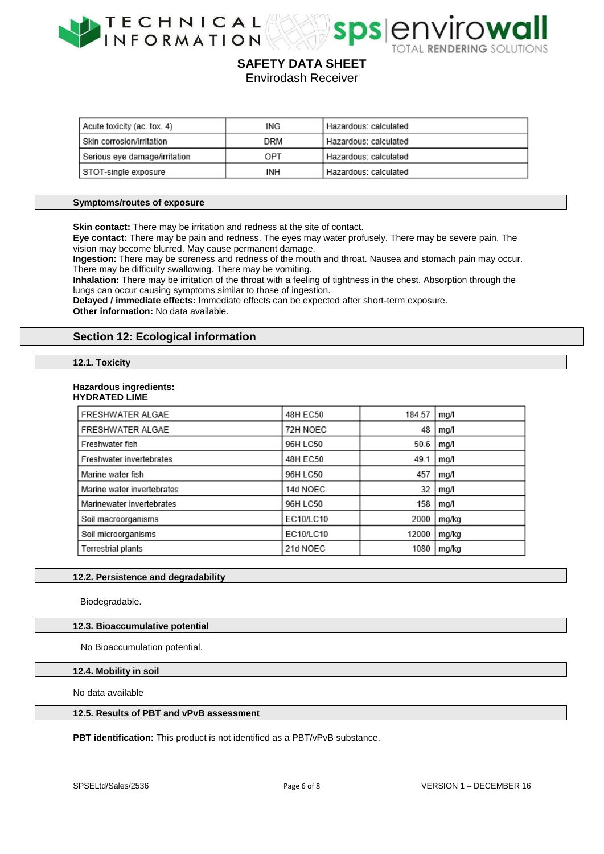



Envirodash Receiver

| Acute toxicity (ac. tox. 4)   | ING | Hazardous: calculated |
|-------------------------------|-----|-----------------------|
| l Skin corrosion/irritation   | DRM | Hazardous: calculated |
| Serious eye damage/irritation | OPT | Hazardous: calculated |
| STOT-single exposure          | INH | Hazardous: calculated |

#### **Symptoms/routes of exposure**

**Skin contact:** There may be irritation and redness at the site of contact.

**Eye contact:** There may be pain and redness. The eyes may water profusely. There may be severe pain. The vision may become blurred. May cause permanent damage.

**Ingestion:** There may be soreness and redness of the mouth and throat. Nausea and stomach pain may occur. There may be difficulty swallowing. There may be vomiting.

**Inhalation:** There may be irritation of the throat with a feeling of tightness in the chest. Absorption through the lungs can occur causing symptoms similar to those of ingestion.

**Delayed / immediate effects:** Immediate effects can be expected after short-term exposure.

**Other information:** No data available.

# **Section 12: Ecological information**

#### **12.1. Toxicity**

#### **Hazardous ingredients:**

# **HYDRATED LIME**

| FRESHWATER ALGAE           | 48H EC50  | 184.57 | ma/l  |
|----------------------------|-----------|--------|-------|
| FRESHWATER ALGAE           | 72H NOEC  | 48     | mg/l  |
| Freshwater fish            | 96H LC50  | 50.6   | mg/l  |
| Freshwater invertebrates   | 48H EC50  | 49.1   | mg/l  |
| Marine water fish          | 96H LC50  | 457    | mg/l  |
| Marine water invertebrates | 14d NOEC  | 32     | mg/l  |
| Marinewater invertebrates  | 96H LC50  | 158    | mg/l  |
| Soil macroorganisms        | EC10/LC10 | 2000   | mg/kg |
| Soil microorganisms        | EC10/LC10 | 12000  | mg/kg |
| Terrestrial plants         | 21d NOEC  | 1080   | mg/kg |

#### **12.2. Persistence and degradability**

Biodegradable.

## **12.3. Bioaccumulative potential**

No Bioaccumulation potential.

#### **12.4. Mobility in soil**

No data available

#### **12.5. Results of PBT and vPvB assessment**

**PBT identification:** This product is not identified as a PBT/vPvB substance.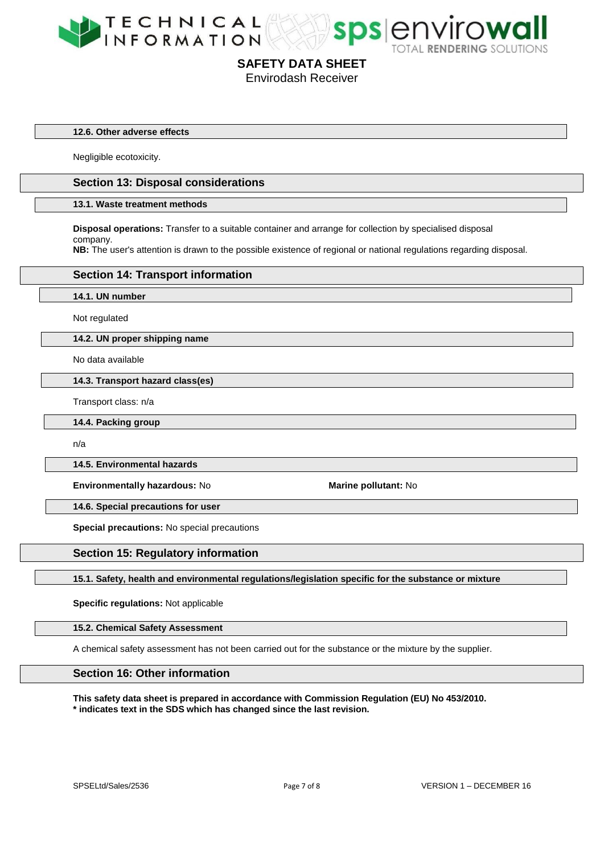



#### **12.6. Other adverse effects**

Negligible ecotoxicity.

# **Section 13: Disposal considerations**

#### **13.1. Waste treatment methods**

**Disposal operations:** Transfer to a suitable container and arrange for collection by specialised disposal company.

**NB:** The user's attention is drawn to the possible existence of regional or national regulations regarding disposal.

#### **Section 14: Transport information**

**14.1. UN number**

Not regulated

#### **14.2. UN proper shipping name**

No data available

**14.3. Transport hazard class(es)**

Transport class: n/a

**14.4. Packing group**

n/a

**14.5. Environmental hazards**

**Environmentally hazardous: No <b>Marine pollutant: No Marine pollutant: No** 

**14.6. Special precautions for user**

**Special precautions:** No special precautions

#### **Section 15: Regulatory information**

**15.1. Safety, health and environmental regulations/legislation specific for the substance or mixture**

**Specific regulations:** Not applicable

#### **15.2. Chemical Safety Assessment**

A chemical safety assessment has not been carried out for the substance or the mixture by the supplier.

# **Section 16: Other information**

**This safety data sheet is prepared in accordance with Commission Regulation (EU) No 453/2010. \* indicates text in the SDS which has changed since the last revision.**